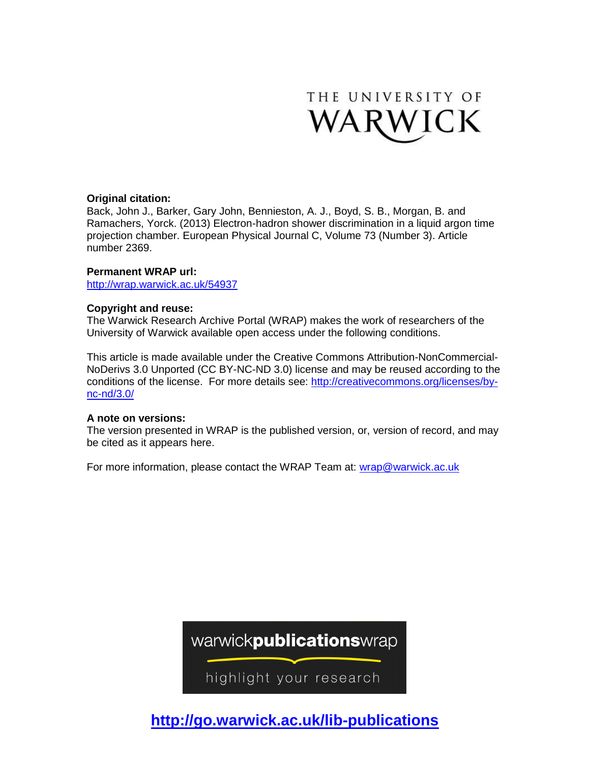

# **Original citation:**

Back, John J., Barker, Gary John, Bennieston, A. J., Boyd, S. B., Morgan, B. and Ramachers, Yorck. (2013) Electron-hadron shower discrimination in a liquid argon time projection chamber. European Physical Journal C, Volume 73 (Number 3). Article number 2369.

## **Permanent WRAP url:**

<http://wrap.warwick.ac.uk/54937>

## **Copyright and reuse:**

The Warwick Research Archive Portal (WRAP) makes the work of researchers of the University of Warwick available open access under the following conditions.

This article is made available under the Creative Commons Attribution-NonCommercial-NoDerivs 3.0 Unported (CC BY-NC-ND 3.0) license and may be reused according to the conditions of the license. For more details see: [http://creativecommons.org/licenses/by](http://creativecommons.org/licenses/by-nc-nd/3.0/)[nc-nd/3.0/](http://creativecommons.org/licenses/by-nc-nd/3.0/)

## **A note on versions:**

The version presented in WRAP is the published version, or, version of record, and may be cited as it appears here.

For more information, please contact the WRAP Team at: [wrap@warwick.ac.uk](mailto:wrap@warwick.ac.uk)

warwickpublicationswrap

highlight your research

**http://go.warwick.ac.uk/lib-publications**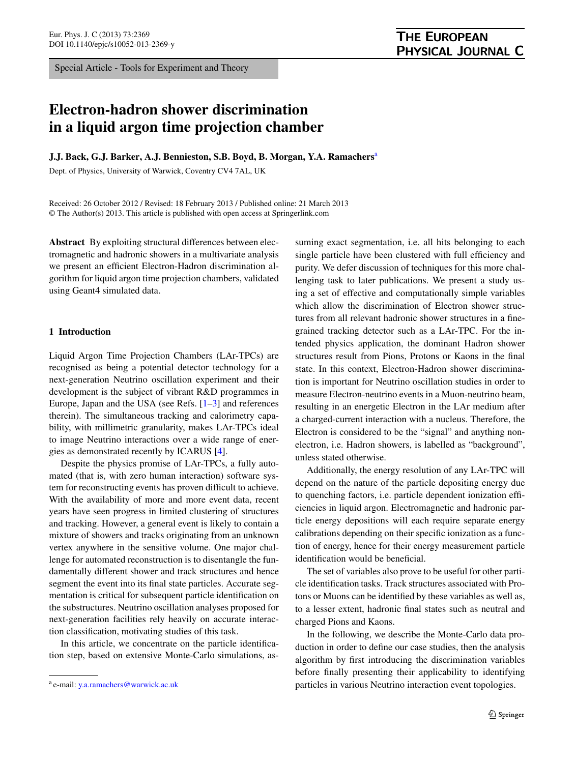Special Article - Tools for Experiment and Theory

# **THE EUROPEAN** PHYSICAL JOURNAL C

# **Electron-hadron shower discrimination in a liquid argon time projection chamber**

**J.J. Back, G.J. Barker, A.J. Bennieston, S.B. Boyd, B. Morgan, Y.A. Ramachers**[a](#page-1-0)

Dept. of Physics, University of Warwick, Coventry CV4 7AL, UK

Received: 26 October 2012 / Revised: 18 February 2013 / Published online: 21 March 2013 © The Author(s) 2013. This article is published with open access at Springerlink.com

**Abstract** By exploiting structural differences between electromagnetic and hadronic showers in a multivariate analysis we present an efficient Electron-Hadron discrimination algorithm for liquid argon time projection chambers, validated using Geant4 simulated data.

### **1 Introduction**

Liquid Argon Time Projection Chambers (LAr-TPCs) are recognised as being a potential detector technology for a next-generation Neutrino oscillation experiment and their development is the subject of vibrant R&D programmes in Europe, Japan and the USA (see Refs.  $[1-3]$  $[1-3]$  $[1-3]$  and references therein). The simultaneous tracking and calorimetry capability, with millimetric granularity, makes LAr-TPCs ideal to image Neutrino interactions over a wide range of energies as demonstrated recently by ICARUS [\[4](#page-9-2)].

Despite the physics promise of LAr-TPCs, a fully automated (that is, with zero human interaction) software system for reconstructing events has proven difficult to achieve. With the availability of more and more event data, recent years have seen progress in limited clustering of structures and tracking. However, a general event is likely to contain a mixture of showers and tracks originating from an unknown vertex anywhere in the sensitive volume. One major challenge for automated reconstruction is to disentangle the fundamentally different shower and track structures and hence segment the event into its final state particles. Accurate segmentation is critical for subsequent particle identification on the substructures. Neutrino oscillation analyses proposed for next-generation facilities rely heavily on accurate interaction classification, motivating studies of this task.

<span id="page-1-0"></span>In this article, we concentrate on the particle identification step, based on extensive Monte-Carlo simulations, assuming exact segmentation, i.e. all hits belonging to each single particle have been clustered with full efficiency and purity. We defer discussion of techniques for this more challenging task to later publications. We present a study using a set of effective and computationally simple variables which allow the discrimination of Electron shower structures from all relevant hadronic shower structures in a finegrained tracking detector such as a LAr-TPC. For the intended physics application, the dominant Hadron shower structures result from Pions, Protons or Kaons in the final state. In this context, Electron-Hadron shower discrimination is important for Neutrino oscillation studies in order to measure Electron-neutrino events in a Muon-neutrino beam, resulting in an energetic Electron in the LAr medium after a charged-current interaction with a nucleus. Therefore, the Electron is considered to be the "signal" and anything nonelectron, i.e. Hadron showers, is labelled as "background", unless stated otherwise.

Additionally, the energy resolution of any LAr-TPC will depend on the nature of the particle depositing energy due to quenching factors, i.e. particle dependent ionization efficiencies in liquid argon. Electromagnetic and hadronic particle energy depositions will each require separate energy calibrations depending on their specific ionization as a function of energy, hence for their energy measurement particle identification would be beneficial.

The set of variables also prove to be useful for other particle identification tasks. Track structures associated with Protons or Muons can be identified by these variables as well as, to a lesser extent, hadronic final states such as neutral and charged Pions and Kaons.

In the following, we describe the Monte-Carlo data production in order to define our case studies, then the analysis algorithm by first introducing the discrimination variables before finally presenting their applicability to identifying particles in various Neutrino interaction event topologies.

<sup>a</sup> e-mail: [y.a.ramachers@warwick.ac.uk](mailto:y.a.ramachers@warwick.ac.uk)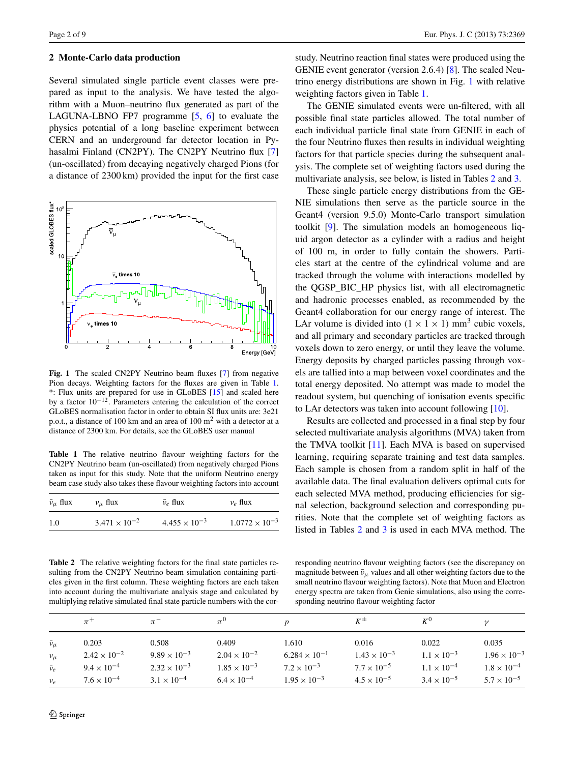#### <span id="page-2-3"></span>**2 Monte-Carlo data production**

Several simulated single particle event classes were prepared as input to the analysis. We have tested the algorithm with a Muon–neutrino flux generated as part of the LAGUNA-LBNO FP7 programme  $[5, 6]$  $[5, 6]$  $[5, 6]$  $[5, 6]$  to evaluate the physics potential of a long baseline experiment between CERN and an underground far detector location in Pyhasalmi Finland (CN2PY). The CN2PY Neutrino flux [[7\]](#page-9-5) (un-oscillated) from decaying negatively charged Pions (for a distance of 2300 km) provided the input for the first case



<span id="page-2-1"></span><span id="page-2-0"></span>**Fig. 1** The scaled CN2PY Neutrino beam fluxes [[7\]](#page-9-5) from negative Pion decays. Weighting factors for the fluxes are given in Table [1.](#page-2-0) \*: Flux units are prepared for use in GLoBES [[15](#page-9-6)] and scaled here by a factor 10<sup>−</sup>12. Parameters entering the calculation of the correct GLoBES normalisation factor in order to obtain SI flux units are: 3e21 p.o.t., a distance of 100 km and an area of 100 m<sup>2</sup> with a detector at a distance of 2300 km. For details, see the GLoBES user manual

**Table 1** The relative neutrino flavour weighting factors for the CN2PY Neutrino beam (un-oscillated) from negatively charged Pions taken as input for this study. Note that the uniform Neutrino energy beam case study also takes these flavour weighting factors into account

<span id="page-2-2"></span>

| $\bar{v}_{\mu}$ flux | $v_{\mu}$ flux         | $\bar{\nu}_e$ flux     | $v_e$ flux              |
|----------------------|------------------------|------------------------|-------------------------|
| 1.0                  | $3.471 \times 10^{-2}$ | $4.455 \times 10^{-3}$ | $1.0772 \times 10^{-3}$ |

**Table 2** The relative weighting factors for the final state particles resulting from the CN2PY Neutrino beam simulation containing particles given in the first column. These weighting factors are each taken into account during the multivariate analysis stage and calculated by multiplying relative simulated final state particle numbers with the cor-

study. Neutrino reaction final states were produced using the GENIE event generator (version 2.6.4) [[8\]](#page-9-7). The scaled Neutrino energy distributions are shown in Fig. [1](#page-2-1) with relative weighting factors given in Table [1.](#page-2-0)

The GENIE simulated events were un-filtered, with all possible final state particles allowed. The total number of each individual particle final state from GENIE in each of the four Neutrino fluxes then results in individual weighting factors for that particle species during the subsequent analysis. The complete set of weighting factors used during the multivariate analysis, see below, is listed in Tables [2](#page-2-2) and [3.](#page-3-0)

These single particle energy distributions from the GE-NIE simulations then serve as the particle source in the Geant4 (version 9.5.0) Monte-Carlo transport simulation toolkit [[9\]](#page-9-8). The simulation models an homogeneous liquid argon detector as a cylinder with a radius and height of 100 m, in order to fully contain the showers. Particles start at the centre of the cylindrical volume and are tracked through the volume with interactions modelled by the QGSP\_BIC\_HP physics list, with all electromagnetic and hadronic processes enabled, as recommended by the Geant4 collaboration for our energy range of interest. The LAr volume is divided into  $(1 \times 1 \times 1)$  mm<sup>3</sup> cubic voxels, and all primary and secondary particles are tracked through voxels down to zero energy, or until they leave the volume. Energy deposits by charged particles passing through voxels are tallied into a map between voxel coordinates and the total energy deposited. No attempt was made to model the readout system, but quenching of ionisation events specific to LAr detectors was taken into account following [\[10](#page-9-9)].

Results are collected and processed in a final step by four selected multivariate analysis algorithms (MVA) taken from the TMVA toolkit [\[11](#page-9-10)]. Each MVA is based on supervised learning, requiring separate training and test data samples. Each sample is chosen from a random split in half of the available data. The final evaluation delivers optimal cuts for each selected MVA method, producing efficiencies for signal selection, background selection and corresponding purities. Note that the complete set of weighting factors as listed in Tables [2](#page-2-2) and [3](#page-3-0) is used in each MVA method. The

responding neutrino flavour weighting factors (see the discrepancy on magnitude between  $\bar{v}_{\mu}$  values and all other weighting factors due to the small neutrino flavour weighting factors). Note that Muon and Electron energy spectra are taken from Genie simulations, also using the corresponding neutrino flavour weighting factor

|                   | $\pi^+$               |                       | $\pi^0$               |                        |                       | $K^0$                |                       |
|-------------------|-----------------------|-----------------------|-----------------------|------------------------|-----------------------|----------------------|-----------------------|
| $\bar{\nu}_{\mu}$ | 0.203                 | 0.508                 | 0.409                 | 1.610                  | 0.016                 | 0.022                | 0.035                 |
| $v_{\mu}$         | $2.42 \times 10^{-2}$ | $9.89 \times 10^{-3}$ | $2.04 \times 10^{-2}$ | $6.284 \times 10^{-1}$ | $1.43 \times 10^{-3}$ | $1.1 \times 10^{-3}$ | $1.96 \times 10^{-3}$ |
| $\bar{\nu}_e$     | $9.4 \times 10^{-4}$  | $2.32 \times 10^{-3}$ | $1.85 \times 10^{-3}$ | $7.2 \times 10^{-3}$   | $7.7 \times 10^{-5}$  | $1.1 \times 10^{-4}$ | $1.8 \times 10^{-4}$  |
| $v_e$             | $7.6 \times 10^{-4}$  | $3.1 \times 10^{-4}$  | $6.4 \times 10^{-4}$  | $1.95 \times 10^{-3}$  | $4.5 \times 10^{-5}$  | $3.4 \times 10^{-5}$ | $5.7 \times 10^{-5}$  |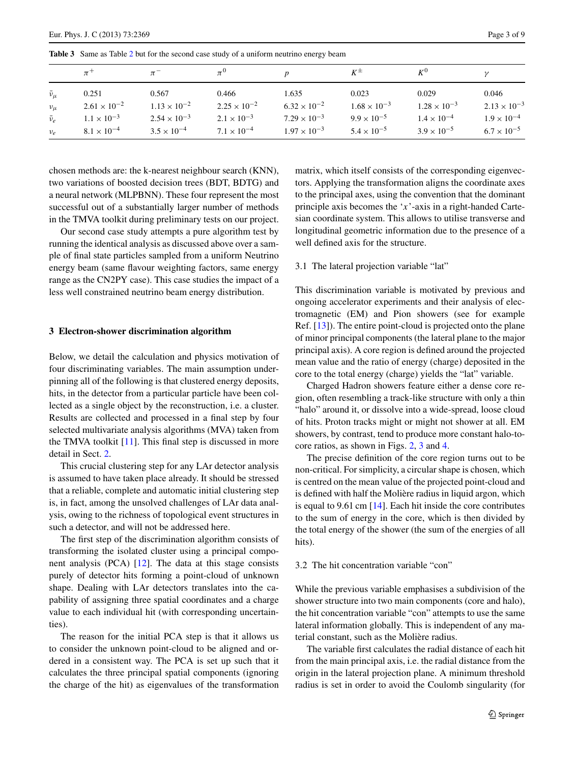<span id="page-3-0"></span>**Table 3** Same as Table [2](#page-2-2) but for the second case study of a uniform neutrino energy beam

|                   | $\pi^+$               |                       |                       |                       | $K^{\pm}$             | $K^0$                 |                       |
|-------------------|-----------------------|-----------------------|-----------------------|-----------------------|-----------------------|-----------------------|-----------------------|
| $\bar{\nu}_{\mu}$ | 0.251                 | 0.567                 | 0.466                 | 1.635                 | 0.023                 | 0.029                 | 0.046                 |
| $v_\mu$           | $2.61 \times 10^{-2}$ | $1.13 \times 10^{-2}$ | $2.25 \times 10^{-2}$ | $6.32 \times 10^{-2}$ | $1.68 \times 10^{-3}$ | $1.28 \times 10^{-3}$ | $2.13 \times 10^{-3}$ |
| $\bar{\nu}_e$     | $1.1 \times 10^{-3}$  | $2.54 \times 10^{-3}$ | $2.1 \times 10^{-3}$  | $7.29 \times 10^{-3}$ | $9.9 \times 10^{-5}$  | $1.4 \times 10^{-4}$  | $1.9 \times 10^{-4}$  |
| $v_e$             | $8.1 \times 10^{-4}$  | $3.5 \times 10^{-4}$  | $7.1 \times 10^{-4}$  | $1.97 \times 10^{-3}$ | $5.4 \times 10^{-5}$  | $3.9 \times 10^{-5}$  | $6.7 \times 10^{-5}$  |

chosen methods are: the k-nearest neighbour search (KNN), two variations of boosted decision trees (BDT, BDTG) and a neural network (MLPBNN). These four represent the most successful out of a substantially larger number of methods in the TMVA toolkit during preliminary tests on our project.

Our second case study attempts a pure algorithm test by running the identical analysis as discussed above over a sample of final state particles sampled from a uniform Neutrino energy beam (same flavour weighting factors, same energy range as the CN2PY case). This case studies the impact of a less well constrained neutrino beam energy distribution.

#### **3 Electron-shower discrimination algorithm**

Below, we detail the calculation and physics motivation of four discriminating variables. The main assumption underpinning all of the following is that clustered energy deposits, hits, in the detector from a particular particle have been collected as a single object by the reconstruction, i.e. a cluster. Results are collected and processed in a final step by four selected multivariate analysis algorithms (MVA) taken from the TMVA toolkit  $[11]$  $[11]$ . This final step is discussed in more detail in Sect. [2.](#page-2-3)

This crucial clustering step for any LAr detector analysis is assumed to have taken place already. It should be stressed that a reliable, complete and automatic initial clustering step is, in fact, among the unsolved challenges of LAr data analysis, owing to the richness of topological event structures in such a detector, and will not be addressed here.

The first step of the discrimination algorithm consists of transforming the isolated cluster using a principal component analysis (PCA) [\[12](#page-9-11)]. The data at this stage consists purely of detector hits forming a point-cloud of unknown shape. Dealing with LAr detectors translates into the capability of assigning three spatial coordinates and a charge value to each individual hit (with corresponding uncertainties).

The reason for the initial PCA step is that it allows us to consider the unknown point-cloud to be aligned and ordered in a consistent way. The PCA is set up such that it calculates the three principal spatial components (ignoring the charge of the hit) as eigenvalues of the transformation matrix, which itself consists of the corresponding eigenvectors. Applying the transformation aligns the coordinate axes to the principal axes, using the convention that the dominant principle axis becomes the '*x*'-axis in a right-handed Cartesian coordinate system. This allows to utilise transverse and longitudinal geometric information due to the presence of a well defined axis for the structure.

#### 3.1 The lateral projection variable "lat"

This discrimination variable is motivated by previous and ongoing accelerator experiments and their analysis of electromagnetic (EM) and Pion showers (see for example Ref. [\[13](#page-9-12)]). The entire point-cloud is projected onto the plane of minor principal components (the lateral plane to the major principal axis). A core region is defined around the projected mean value and the ratio of energy (charge) deposited in the core to the total energy (charge) yields the "lat" variable.

Charged Hadron showers feature either a dense core region, often resembling a track-like structure with only a thin "halo" around it, or dissolve into a wide-spread, loose cloud of hits. Proton tracks might or might not shower at all. EM showers, by contrast, tend to produce more constant halo-tocore ratios, as shown in Figs. [2](#page-4-0), [3](#page-4-1) and [4](#page-5-0).

The precise definition of the core region turns out to be non-critical. For simplicity, a circular shape is chosen, which is centred on the mean value of the projected point-cloud and is defined with half the Molière radius in liquid argon, which is equal to 9.61 cm [\[14](#page-9-13)]. Each hit inside the core contributes to the sum of energy in the core, which is then divided by the total energy of the shower (the sum of the energies of all hits).

#### 3.2 The hit concentration variable "con"

While the previous variable emphasises a subdivision of the shower structure into two main components (core and halo), the hit concentration variable "con" attempts to use the same lateral information globally. This is independent of any material constant, such as the Molière radius.

The variable first calculates the radial distance of each hit from the main principal axis, i.e. the radial distance from the origin in the lateral projection plane. A minimum threshold radius is set in order to avoid the Coulomb singularity (for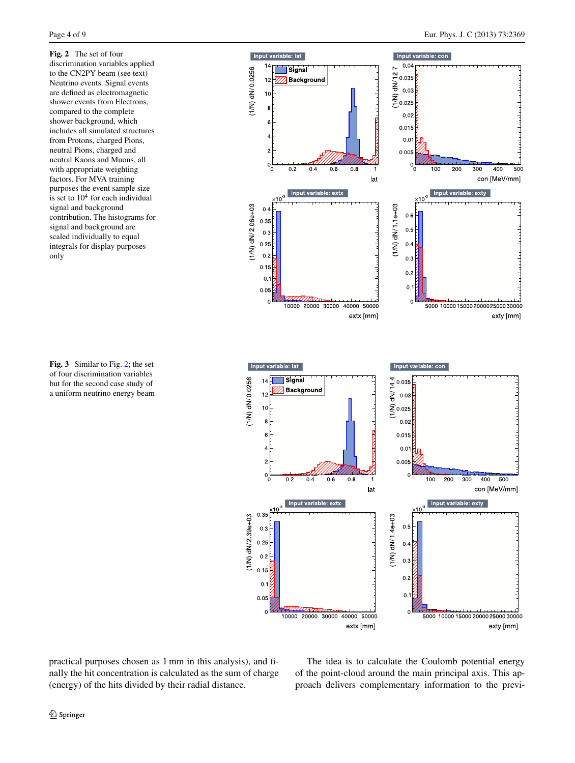<span id="page-4-0"></span>**Fig. 2** The set of four discrimination variables applied to the CN2PY beam (see text) Neutrino events. Signal events are defined as electromagnetic shower events from Electrons, compared to the complete shower background, which includes all simulated structures from Protons, charged Pions, neutral Pions, charged and neutral Kaons and Muons, all with appropriate weighting factors. For MVA training purposes the event sample size is set to  $10<sup>4</sup>$  for each individual signal and background contribution. The histograms for signal and background are scaled individually to equal integrals for display purposes only

<span id="page-4-1"></span>**Fig. 3** Similar to Fig. [2;](#page-4-0) the set of four discrimination variables but for the second case study of a uniform neutrino energy beam





practical purposes chosen as 1 mm in this analysis), and finally the hit concentration is calculated as the sum of charge (energy) of the hits divided by their radial distance.

The idea is to calculate the Coulomb potential energy of the point-cloud around the main principal axis. This approach delivers complementary information to the previ-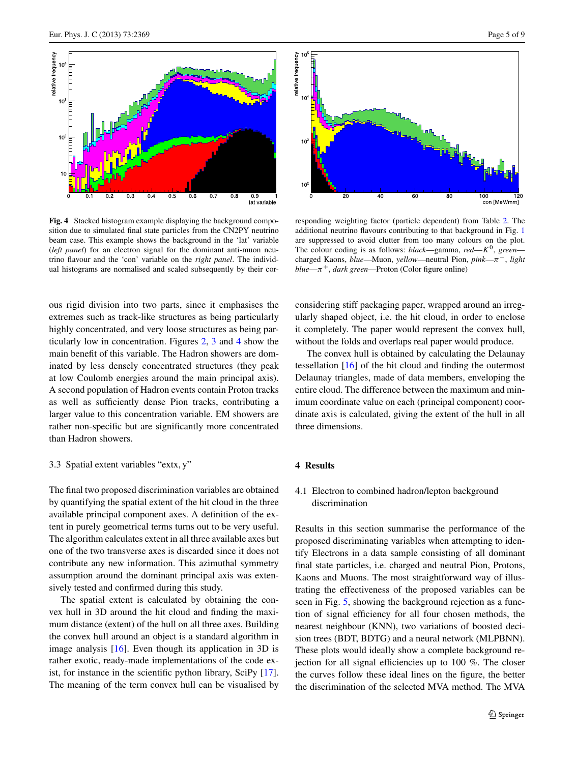

<span id="page-5-0"></span>**Fig. 4** Stacked histogram example displaying the background composition due to simulated final state particles from the CN2PY neutrino beam case. This example shows the background in the 'lat' variable (*left panel*) for an electron signal for the dominant anti-muon neutrino flavour and the 'con' variable on the *right panel*. The individual histograms are normalised and scaled subsequently by their cor-

ous rigid division into two parts, since it emphasises the extremes such as track-like structures as being particularly highly concentrated, and very loose structures as being particularly low in concentration. Figures [2,](#page-4-0) [3](#page-4-1) and [4](#page-5-0) show the main benefit of this variable. The Hadron showers are dominated by less densely concentrated structures (they peak at low Coulomb energies around the main principal axis). A second population of Hadron events contain Proton tracks as well as sufficiently dense Pion tracks, contributing a larger value to this concentration variable. EM showers are rather non-specific but are significantly more concentrated than Hadron showers.

#### 3.3 Spatial extent variables "extx, y"

The final two proposed discrimination variables are obtained by quantifying the spatial extent of the hit cloud in the three available principal component axes. A definition of the extent in purely geometrical terms turns out to be very useful. The algorithm calculates extent in all three available axes but one of the two transverse axes is discarded since it does not contribute any new information. This azimuthal symmetry assumption around the dominant principal axis was extensively tested and confirmed during this study.

The spatial extent is calculated by obtaining the convex hull in 3D around the hit cloud and finding the maximum distance (extent) of the hull on all three axes. Building the convex hull around an object is a standard algorithm in image analysis [\[16](#page-9-14)]. Even though its application in 3D is rather exotic, ready-made implementations of the code exist, for instance in the scientific python library, SciPy [\[17](#page-9-15)]. The meaning of the term convex hull can be visualised by



responding weighting factor (particle dependent) from Table [2](#page-2-2). The additional neutrino flavours contributing to that background in Fig. [1](#page-2-1) are suppressed to avoid clutter from too many colours on the plot. The colour coding is as follows: *black*—gamma, *red*—*K*0, *green* charged Kaons, *blue*—Muon, *yellow*—neutral Pion, *pink*—*π*−, *light blue—* $\pi^{+}$ *, dark green—Proton (Color figure online)* 

considering stiff packaging paper, wrapped around an irregularly shaped object, i.e. the hit cloud, in order to enclose it completely. The paper would represent the convex hull, without the folds and overlaps real paper would produce.

The convex hull is obtained by calculating the Delaunay tessellation [\[16](#page-9-14)] of the hit cloud and finding the outermost Delaunay triangles, made of data members, enveloping the entire cloud. The difference between the maximum and minimum coordinate value on each (principal component) coordinate axis is calculated, giving the extent of the hull in all three dimensions.

#### **4 Results**

## 4.1 Electron to combined hadron/lepton background discrimination

Results in this section summarise the performance of the proposed discriminating variables when attempting to identify Electrons in a data sample consisting of all dominant final state particles, i.e. charged and neutral Pion, Protons, Kaons and Muons. The most straightforward way of illustrating the effectiveness of the proposed variables can be seen in Fig. [5,](#page-6-0) showing the background rejection as a function of signal efficiency for all four chosen methods, the nearest neighbour (KNN), two variations of boosted decision trees (BDT, BDTG) and a neural network (MLPBNN). These plots would ideally show a complete background rejection for all signal efficiencies up to 100 %. The closer the curves follow these ideal lines on the figure, the better the discrimination of the selected MVA method. The MVA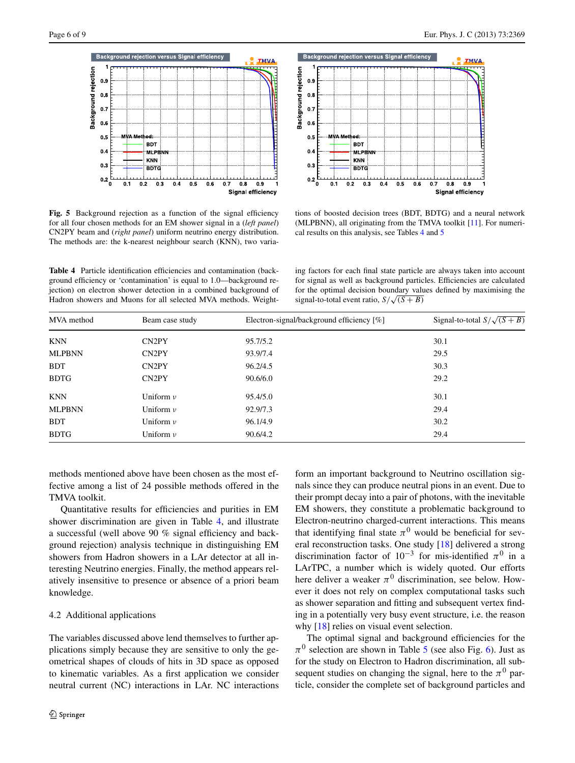

<span id="page-6-1"></span><span id="page-6-0"></span>**Fig. 5** Background rejection as a function of the signal efficiency for all four chosen methods for an EM shower signal in a (*left panel*) CN2PY beam and (*right panel*) uniform neutrino energy distribution. The methods are: the k-nearest neighbour search (KNN), two varia-

**Table 4** Particle identification efficiencies and contamination (background efficiency or 'contamination' is equal to 1.0—background rejection) on electron shower detection in a combined background of Hadron showers and Muons for all selected MVA methods. Weight-



tions of boosted decision trees (BDT, BDTG) and a neural network (MLPBNN), all originating from the TMVA toolkit [\[11\]](#page-9-10). For numerical results on this analysis, see Tables [4](#page-6-1) and [5](#page-7-0)

ing factors for each final state particle are always taken into account for signal as well as background particles. Efficiencies are calculated for the optimal decision boundary values defined by maximising the signal-to-total event ratio,  $S/\sqrt{(S+B)}$ 

| MVA method<br>Beam case study |                    | Electron-signal/background efficiency [%] | Signal-to-total $S/\sqrt{(S+B)}$ |  |
|-------------------------------|--------------------|-------------------------------------------|----------------------------------|--|
| <b>KNN</b>                    | CN <sub>2</sub> PY | 95.7/5.2                                  | 30.1                             |  |
| <b>MLPBNN</b>                 | CN <sub>2</sub> PY | 93.9/7.4                                  | 29.5                             |  |
| <b>BDT</b>                    | CN <sub>2</sub> PY | 96.2/4.5                                  | 30.3                             |  |
| <b>BDTG</b>                   | CN <sub>2</sub> PY | 90.6/6.0                                  | 29.2                             |  |
| <b>KNN</b>                    | Uniform $\nu$      | 95.4/5.0                                  | 30.1                             |  |
| <b>MLPBNN</b>                 | Uniform $\nu$      | 92.9/7.3                                  | 29.4                             |  |
| <b>BDT</b>                    | Uniform $\nu$      | 96.1/4.9                                  | 30.2                             |  |
| <b>BDTG</b>                   | Uniform $\nu$      | 90.6/4.2                                  | 29.4                             |  |

methods mentioned above have been chosen as the most effective among a list of 24 possible methods offered in the TMVA toolkit.

Quantitative results for efficiencies and purities in EM shower discrimination are given in Table [4](#page-6-1), and illustrate a successful (well above 90 % signal efficiency and background rejection) analysis technique in distinguishing EM showers from Hadron showers in a LAr detector at all interesting Neutrino energies. Finally, the method appears relatively insensitive to presence or absence of a priori beam knowledge.

#### 4.2 Additional applications

The variables discussed above lend themselves to further applications simply because they are sensitive to only the geometrical shapes of clouds of hits in 3D space as opposed to kinematic variables. As a first application we consider neutral current (NC) interactions in LAr. NC interactions form an important background to Neutrino oscillation signals since they can produce neutral pions in an event. Due to their prompt decay into a pair of photons, with the inevitable EM showers, they constitute a problematic background to Electron-neutrino charged-current interactions. This means that identifying final state  $\pi^0$  would be beneficial for several reconstruction tasks. One study [\[18](#page-9-16)] delivered a strong discrimination factor of  $10^{-3}$  for mis-identified  $\pi^0$  in a LArTPC, a number which is widely quoted. Our efforts here deliver a weaker  $\pi^0$  discrimination, see below. However it does not rely on complex computational tasks such as shower separation and fitting and subsequent vertex finding in a potentially very busy event structure, i.e. the reason why [[18\]](#page-9-16) relies on visual event selection.

The optimal signal and background efficiencies for the  $\pi^0$  selection are shown in Table [5](#page-7-0) (see also Fig. [6](#page-7-1)). Just as for the study on Electron to Hadron discrimination, all subsequent studies on changing the signal, here to the  $\pi^0$  particle, consider the complete set of background particles and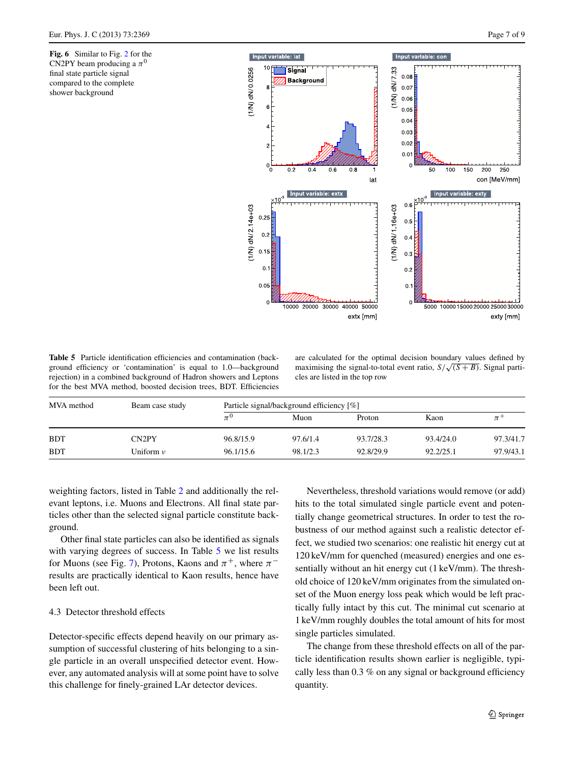<span id="page-7-1"></span>**Fig. 6** Similar to Fig. [2](#page-4-0) for the CN2PY beam producing a  $\pi^0$ final state particle signal compared to the complete shower background



<span id="page-7-0"></span>**Table 5** Particle identification efficiencies and contamination (background efficiency or 'contamination' is equal to 1.0—background rejection) in a combined background of Hadron showers and Leptons for the best MVA method, boosted decision trees, BDT. Efficiencies

are calculated for the optimal decision boundary values defined by maximising the signal-to-total event ratio,  $S/\sqrt{(S+B)}$ . Signal particles are listed in the top row

| MVA method | Beam case study | Particle signal/background efficiency [%] |          |           |           |           |  |
|------------|-----------------|-------------------------------------------|----------|-----------|-----------|-----------|--|
|            |                 |                                           | Muon     | Proton    | Kaon      | $\pi^-$   |  |
| <b>BDT</b> | CN2PY           | 96.8/15.9                                 | 97.6/1.4 | 93.7/28.3 | 93.4/24.0 | 97.3/41.7 |  |
| <b>BDT</b> | Uniform $\nu$   | 96.1/15.6                                 | 98.1/2.3 | 92.8/29.9 | 92.2/25.1 | 97.9/43.1 |  |

weighting factors, listed in Table [2](#page-2-2) and additionally the relevant leptons, i.e. Muons and Electrons. All final state particles other than the selected signal particle constitute background.

Other final state particles can also be identified as signals with varying degrees of success. In Table [5](#page-7-0) we list results for Muons (see Fig. [7\)](#page-8-0), Protons, Kaons and  $\pi^+$ , where  $\pi^$ results are practically identical to Kaon results, hence have been left out.

#### 4.3 Detector threshold effects

Detector-specific effects depend heavily on our primary assumption of successful clustering of hits belonging to a single particle in an overall unspecified detector event. However, any automated analysis will at some point have to solve this challenge for finely-grained LAr detector devices.

Nevertheless, threshold variations would remove (or add) hits to the total simulated single particle event and potentially change geometrical structures. In order to test the robustness of our method against such a realistic detector effect, we studied two scenarios: one realistic hit energy cut at 120 keV/mm for quenched (measured) energies and one essentially without an hit energy cut (1 keV/mm). The threshold choice of 120 keV/mm originates from the simulated onset of the Muon energy loss peak which would be left practically fully intact by this cut. The minimal cut scenario at 1 keV/mm roughly doubles the total amount of hits for most single particles simulated.

The change from these threshold effects on all of the particle identification results shown earlier is negligible, typically less than 0.3 % on any signal or background efficiency quantity.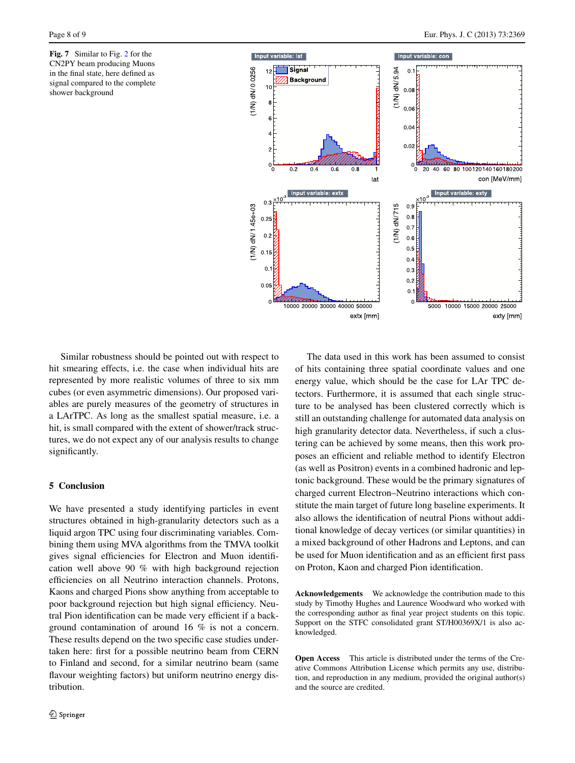<span id="page-8-0"></span>**Fig. 7** Similar to Fig. [2](#page-4-0) for the CN2PY beam producing Muons in the final state, here defined as signal compared to the complete shower background



Similar robustness should be pointed out with respect to hit smearing effects, i.e. the case when individual hits are represented by more realistic volumes of three to six mm cubes (or even asymmetric dimensions). Our proposed variables are purely measures of the geometry of structures in a LArTPC. As long as the smallest spatial measure, i.e. a hit, is small compared with the extent of shower/track structures, we do not expect any of our analysis results to change significantly.

## **5 Conclusion**

We have presented a study identifying particles in event structures obtained in high-granularity detectors such as a liquid argon TPC using four discriminating variables. Combining them using MVA algorithms from the TMVA toolkit gives signal efficiencies for Electron and Muon identification well above 90 % with high background rejection efficiencies on all Neutrino interaction channels. Protons, Kaons and charged Pions show anything from acceptable to poor background rejection but high signal efficiency. Neutral Pion identification can be made very efficient if a background contamination of around 16 % is not a concern. These results depend on the two specific case studies undertaken here: first for a possible neutrino beam from CERN to Finland and second, for a similar neutrino beam (same flavour weighting factors) but uniform neutrino energy distribution.

The data used in this work has been assumed to consist of hits containing three spatial coordinate values and one energy value, which should be the case for LAr TPC detectors. Furthermore, it is assumed that each single structure to be analysed has been clustered correctly which is still an outstanding challenge for automated data analysis on high granularity detector data. Nevertheless, if such a clustering can be achieved by some means, then this work proposes an efficient and reliable method to identify Electron (as well as Positron) events in a combined hadronic and leptonic background. These would be the primary signatures of charged current Electron–Neutrino interactions which constitute the main target of future long baseline experiments. It also allows the identification of neutral Pions without additional knowledge of decay vertices (or similar quantities) in a mixed background of other Hadrons and Leptons, and can be used for Muon identification and as an efficient first pass on Proton, Kaon and charged Pion identification.

**Acknowledgements** We acknowledge the contribution made to this study by Timothy Hughes and Laurence Woodward who worked with the corresponding author as final year project students on this topic. Support on the STFC consolidated grant ST/H00369X/1 is also acknowledged.

**Open Access** This article is distributed under the terms of the Creative Commons Attribution License which permits any use, distribution, and reproduction in any medium, provided the original author(s) and the source are credited.